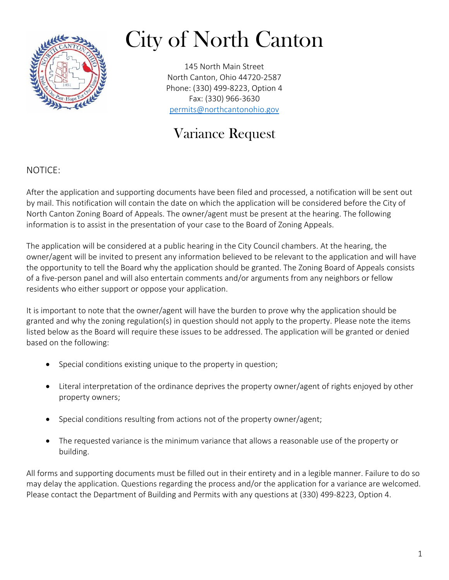

# City of North Canton

145 North Main Street North Canton, Ohio 44720-2587 Phone: (330) 499-8223, Option 4 Fax: (330) 966-3630 [permits@northcantonohio.gov](mailto:permits@northcantonohio.gov)

## Variance Request

#### NOTICE:

After the application and supporting documents have been filed and processed, a notification will be sent out by mail. This notification will contain the date on which the application will be considered before the City of North Canton Zoning Board of Appeals. The owner/agent must be present at the hearing. The following information is to assist in the presentation of your case to the Board of Zoning Appeals.

The application will be considered at a public hearing in the City Council chambers. At the hearing, the owner/agent will be invited to present any information believed to be relevant to the application and will have the opportunity to tell the Board why the application should be granted. The Zoning Board of Appeals consists of a five-person panel and will also entertain comments and/or arguments from any neighbors or fellow residents who either support or oppose your application.

It is important to note that the owner/agent will have the burden to prove why the application should be granted and why the zoning regulation(s) in question should not apply to the property. Please note the items listed below as the Board will require these issues to be addressed. The application will be granted or denied based on the following:

- Special conditions existing unique to the property in question;
- Literal interpretation of the ordinance deprives the property owner/agent of rights enjoyed by other property owners;
- Special conditions resulting from actions not of the property owner/agent;
- The requested variance is the minimum variance that allows a reasonable use of the property or building.

All forms and supporting documents must be filled out in their entirety and in a legible manner. Failure to do so may delay the application. Questions regarding the process and/or the application for a variance are welcomed. Please contact the Department of Building and Permits with any questions at (330) 499-8223, Option 4.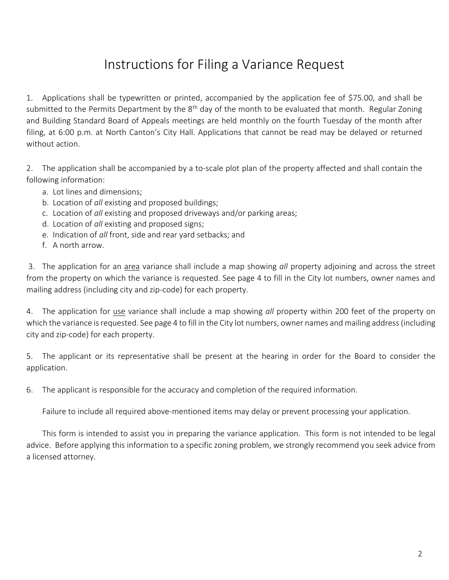#### Instructions for Filing a Variance Request

1. Applications shall be typewritten or printed, accompanied by the application fee of \$75.00, and shall be submitted to the Permits Department by the 8<sup>th</sup> day of the month to be evaluated that month. Regular Zoning and Building Standard Board of Appeals meetings are held monthly on the fourth Tuesday of the month after filing, at 6:00 p.m. at North Canton's City Hall. Applications that cannot be read may be delayed or returned without action.

2. The application shall be accompanied by a to-scale plot plan of the property affected and shall contain the following information:

- a. Lot lines and dimensions;
- b. Location of *all* existing and proposed buildings;
- c. Location of *all* existing and proposed driveways and/or parking areas;
- d. Location of *all* existing and proposed signs;
- e. Indication of *all* front, side and rear yard setbacks; and
- f. A north arrow.

3. The application for an area variance shall include a map showing *all* property adjoining and across the street from the property on which the variance is requested. See page 4 to fill in the City lot numbers, owner names and mailing address (including city and zip-code) for each property.

4. The application for use variance shall include a map showing *all* property within 200 feet of the property on which the variance is requested. See page 4 to fill in the City lot numbers, owner names and mailing address (including city and zip-code) for each property.

5. The applicant or its representative shall be present at the hearing in order for the Board to consider the application.

6. The applicant is responsible for the accuracy and completion of the required information.

Failure to include all required above-mentioned items may delay or prevent processing your application.

This form is intended to assist you in preparing the variance application. This form is not intended to be legal advice.Before applying this information to a specific zoning problem, we strongly recommend you seek advice from a licensed attorney.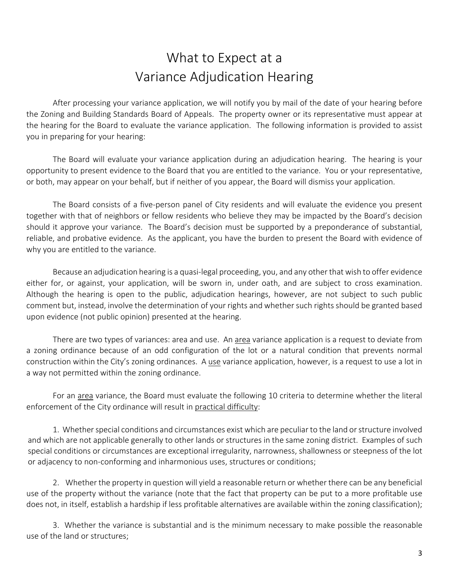### What to Expect at a Variance Adjudication Hearing

After processing your variance application, we will notify you by mail of the date of your hearing before the Zoning and Building Standards Board of Appeals. The property owner or its representative must appear at the hearing for the Board to evaluate the variance application. The following information is provided to assist you in preparing for your hearing:

The Board will evaluate your variance application during an adjudication hearing. The hearing is your opportunity to present evidence to the Board that you are entitled to the variance. You or your representative, or both, may appear on your behalf, but if neither of you appear, the Board will dismiss your application.

The Board consists of a five-person panel of City residents and will evaluate the evidence you present together with that of neighbors or fellow residents who believe they may be impacted by the Board's decision should it approve your variance. The Board's decision must be supported by a preponderance of substantial, reliable, and probative evidence. As the applicant, you have the burden to present the Board with evidence of why you are entitled to the variance.

Because an adjudication hearing is a quasi-legal proceeding, you, and any other that wish to offer evidence either for, or against, your application, will be sworn in, under oath, and are subject to cross examination. Although the hearing is open to the public, adjudication hearings, however, are not subject to such public comment but, instead, involve the determination of your rights and whether such rights should be granted based upon evidence (not public opinion) presented at the hearing.

There are two types of variances: area and use. An area variance application is a request to deviate from a zoning ordinance because of an odd configuration of the lot or a natural condition that prevents normal construction within the City's zoning ordinances. A use variance application, however, is a request to use a lot in a way not permitted within the zoning ordinance.

For an area variance, the Board must evaluate the following 10 criteria to determine whether the literal enforcement of the City ordinance will result in practical difficulty:

1. Whether special conditions and circumstances exist which are peculiar to the land or structure involved and which are not applicable generally to other lands or structures in the same zoning district. Examples of such special conditions or circumstances are exceptional irregularity, narrowness, shallowness or steepness of the lot or adjacency to non-conforming and inharmonious uses, structures or conditions;

2. Whether the property in question will yield a reasonable return or whether there can be any beneficial use of the property without the variance (note that the fact that property can be put to a more profitable use does not, in itself, establish a hardship if less profitable alternatives are available within the zoning classification);

3. Whether the variance is substantial and is the minimum necessary to make possible the reasonable use of the land or structures;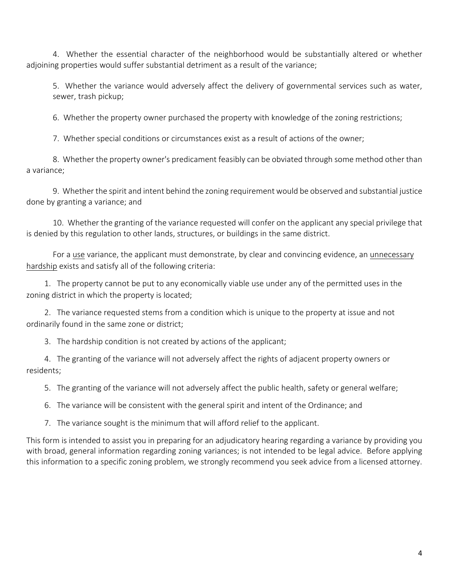4. Whether the essential character of the neighborhood would be substantially altered or whether adjoining properties would suffer substantial detriment as a result of the variance;

5. Whether the variance would adversely affect the delivery of governmental services such as water, sewer, trash pickup;

6. Whether the property owner purchased the property with knowledge of the zoning restrictions;

7. Whether special conditions or circumstances exist as a result of actions of the owner;

8. Whether the property owner's predicament feasibly can be obviated through some method other than a variance;

9. Whether the spirit and intent behind the zoning requirement would be observed and substantial justice done by granting a variance; and

10. Whether the granting of the variance requested will confer on the applicant any special privilege that is denied by this regulation to other lands, structures, or buildings in the same district.

For a use variance, the applicant must demonstrate, by clear and convincing evidence, an unnecessary hardship exists and satisfy all of the following criteria:

1. The property cannot be put to any economically viable use under any of the permitted uses in the zoning district in which the property is located;

2. The variance requested stems from a condition which is unique to the property at issue and not ordinarily found in the same zone or district;

3. The hardship condition is not created by actions of the applicant;

4. The granting of the variance will not adversely affect the rights of adjacent property owners or residents;

5. The granting of the variance will not adversely affect the public health, safety or general welfare;

6. The variance will be consistent with the general spirit and intent of the Ordinance; and

7. The variance sought is the minimum that will afford relief to the applicant.

This form is intended to assist you in preparing for an adjudicatory hearing regarding a variance by providing you with broad, general information regarding zoning variances; is not intended to be legal advice.Before applying this information to a specific zoning problem, we strongly recommend you seek advice from a licensed attorney.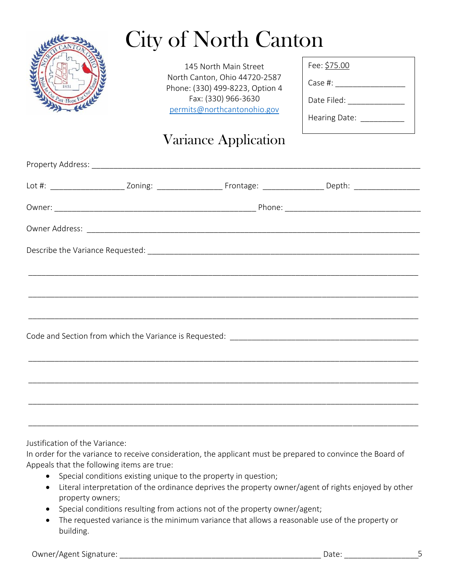

# City of North Canton

145 North Main Street North Canton, Ohio 44720-2587 Phone: (330) 499-8223, Option 4 Fax: (330) 966-3630 [permits@northcantonohio.gov](mailto:permits@northcantonohio.gov)

| Case #: I     |  |
|---------------|--|
| Date Filed:   |  |
| Hearing Date: |  |

Fee: \$75.00

### Variance Application

|  | <u> - Alexandro Alexandro Alexandro Alexandro Alexandro Alexandro Alexandro Alexandro Alexandro Alexandro Alexandr</u> |  |  |
|--|------------------------------------------------------------------------------------------------------------------------|--|--|
|  |                                                                                                                        |  |  |
|  |                                                                                                                        |  |  |
|  |                                                                                                                        |  |  |
|  |                                                                                                                        |  |  |
|  |                                                                                                                        |  |  |
|  |                                                                                                                        |  |  |
|  |                                                                                                                        |  |  |

Justification of the Variance:

In order for the variance to receive consideration, the applicant must be prepared to convince the Board of Appeals that the following items are true:

- Special conditions existing unique to the property in question;
- Literal interpretation of the ordinance deprives the property owner/agent of rights enjoyed by other property owners;
- Special conditions resulting from actions not of the property owner/agent;
- The requested variance is the minimum variance that allows a reasonable use of the property or building.